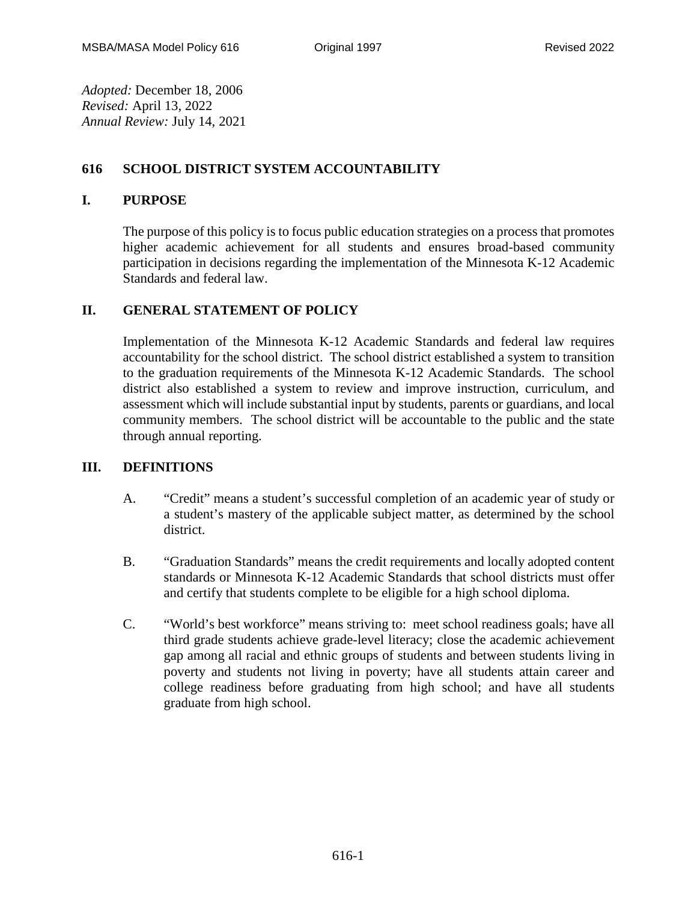*Adopted:* December 18, 2006 *Revised:* April 13, 2022 *Annual Review:* July 14, 2021

# **616 SCHOOL DISTRICT SYSTEM ACCOUNTABILITY**

## **I. PURPOSE**

The purpose of this policy is to focus public education strategies on a process that promotes higher academic achievement for all students and ensures broad-based community participation in decisions regarding the implementation of the Minnesota K-12 Academic Standards and federal law.

# **II. GENERAL STATEMENT OF POLICY**

Implementation of the Minnesota K-12 Academic Standards and federal law requires accountability for the school district. The school district established a system to transition to the graduation requirements of the Minnesota K-12 Academic Standards. The school district also established a system to review and improve instruction, curriculum, and assessment which will include substantial input by students, parents or guardians, and local community members. The school district will be accountable to the public and the state through annual reporting.

## **III. DEFINITIONS**

- A. "Credit" means a student's successful completion of an academic year of study or a student's mastery of the applicable subject matter, as determined by the school district.
- B. "Graduation Standards" means the credit requirements and locally adopted content standards or Minnesota K-12 Academic Standards that school districts must offer and certify that students complete to be eligible for a high school diploma.
- C. "World's best workforce" means striving to: meet school readiness goals; have all third grade students achieve grade-level literacy; close the academic achievement gap among all racial and ethnic groups of students and between students living in poverty and students not living in poverty; have all students attain career and college readiness before graduating from high school; and have all students graduate from high school.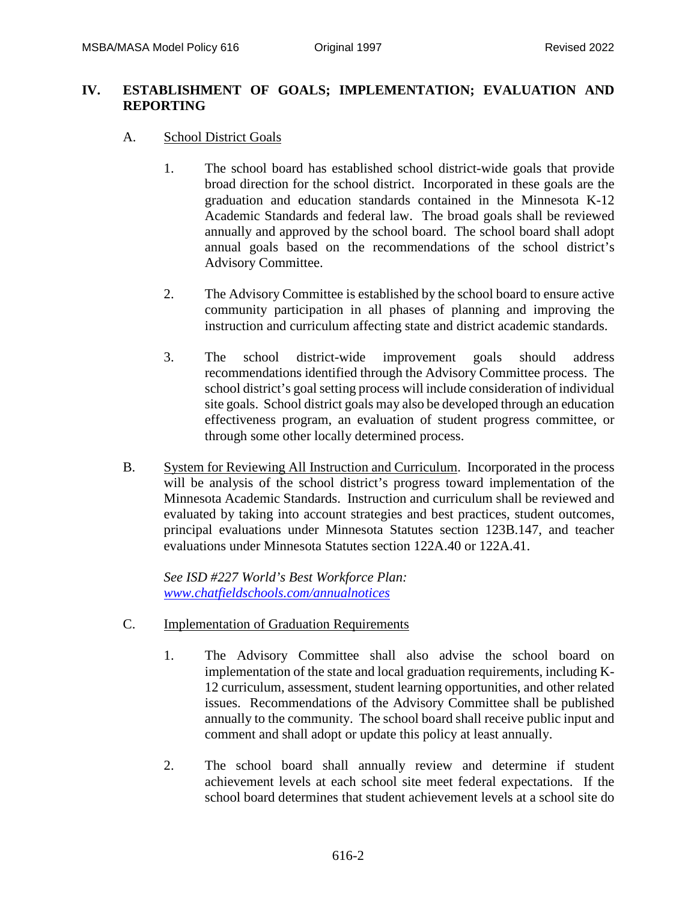### **IV. ESTABLISHMENT OF GOALS; IMPLEMENTATION; EVALUATION AND REPORTING**

- A. School District Goals
	- 1. The school board has established school district-wide goals that provide broad direction for the school district. Incorporated in these goals are the graduation and education standards contained in the Minnesota K-12 Academic Standards and federal law. The broad goals shall be reviewed annually and approved by the school board. The school board shall adopt annual goals based on the recommendations of the school district's Advisory Committee.
	- 2. The Advisory Committee is established by the school board to ensure active community participation in all phases of planning and improving the instruction and curriculum affecting state and district academic standards.
	- 3. The school district-wide improvement goals should address recommendations identified through the Advisory Committee process. The school district's goal setting process will include consideration of individual site goals. School district goals may also be developed through an education effectiveness program, an evaluation of student progress committee, or through some other locally determined process.
- B. System for Reviewing All Instruction and Curriculum. Incorporated in the process will be analysis of the school district's progress toward implementation of the Minnesota Academic Standards. Instruction and curriculum shall be reviewed and evaluated by taking into account strategies and best practices, student outcomes, principal evaluations under Minnesota Statutes section 123B.147, and teacher evaluations under Minnesota Statutes section 122A.40 or 122A.41.

*See ISD #227 World's Best Workforce Plan: [www.chatfieldschools.com/annualnotices](http://www.chatfieldschools.com/annualnotices)*

- C. Implementation of Graduation Requirements
	- 1. The Advisory Committee shall also advise the school board on implementation of the state and local graduation requirements, including K-12 curriculum, assessment, student learning opportunities, and other related issues. Recommendations of the Advisory Committee shall be published annually to the community. The school board shall receive public input and comment and shall adopt or update this policy at least annually.
	- 2. The school board shall annually review and determine if student achievement levels at each school site meet federal expectations. If the school board determines that student achievement levels at a school site do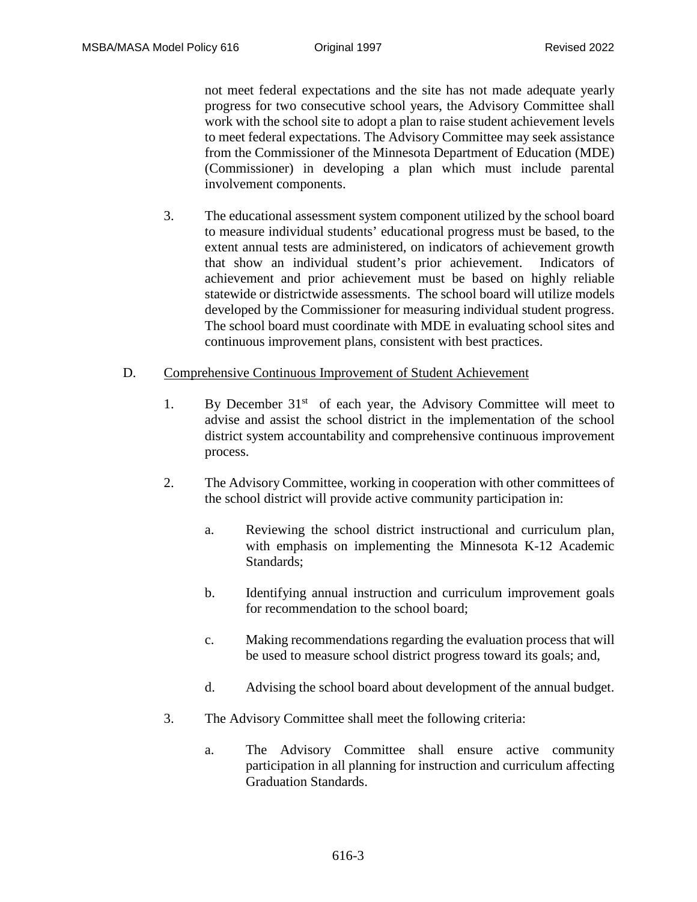not meet federal expectations and the site has not made adequate yearly progress for two consecutive school years, the Advisory Committee shall work with the school site to adopt a plan to raise student achievement levels to meet federal expectations. The Advisory Committee may seek assistance from the Commissioner of the Minnesota Department of Education (MDE) (Commissioner) in developing a plan which must include parental involvement components.

3. The educational assessment system component utilized by the school board to measure individual students' educational progress must be based, to the extent annual tests are administered, on indicators of achievement growth that show an individual student's prior achievement. Indicators of achievement and prior achievement must be based on highly reliable statewide or districtwide assessments. The school board will utilize models developed by the Commissioner for measuring individual student progress. The school board must coordinate with MDE in evaluating school sites and continuous improvement plans, consistent with best practices.

#### D. Comprehensive Continuous Improvement of Student Achievement

- 1. By December  $31<sup>st</sup>$  of each year, the Advisory Committee will meet to advise and assist the school district in the implementation of the school district system accountability and comprehensive continuous improvement process.
- 2. The Advisory Committee, working in cooperation with other committees of the school district will provide active community participation in:
	- a. Reviewing the school district instructional and curriculum plan, with emphasis on implementing the Minnesota K-12 Academic Standards;
	- b. Identifying annual instruction and curriculum improvement goals for recommendation to the school board;
	- c. Making recommendations regarding the evaluation process that will be used to measure school district progress toward its goals; and,
	- d. Advising the school board about development of the annual budget.
- 3. The Advisory Committee shall meet the following criteria:
	- a. The Advisory Committee shall ensure active community participation in all planning for instruction and curriculum affecting Graduation Standards.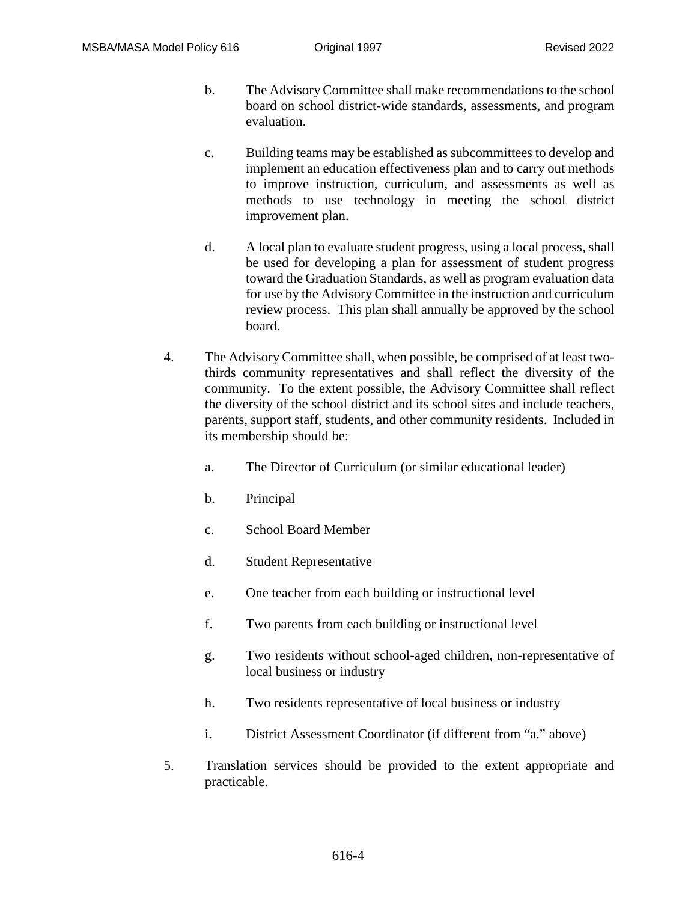- b. The Advisory Committee shall make recommendations to the school board on school district-wide standards, assessments, and program evaluation.
- c. Building teams may be established as subcommittees to develop and implement an education effectiveness plan and to carry out methods to improve instruction, curriculum, and assessments as well as methods to use technology in meeting the school district improvement plan.
- d. A local plan to evaluate student progress, using a local process, shall be used for developing a plan for assessment of student progress toward the Graduation Standards, as well as program evaluation data for use by the Advisory Committee in the instruction and curriculum review process. This plan shall annually be approved by the school board.
- 4. The Advisory Committee shall, when possible, be comprised of at least twothirds community representatives and shall reflect the diversity of the community. To the extent possible, the Advisory Committee shall reflect the diversity of the school district and its school sites and include teachers, parents, support staff, students, and other community residents. Included in its membership should be:
	- a. The Director of Curriculum (or similar educational leader)
	- b. Principal
	- c. School Board Member
	- d. Student Representative
	- e. One teacher from each building or instructional level
	- f. Two parents from each building or instructional level
	- g. Two residents without school-aged children, non-representative of local business or industry
	- h. Two residents representative of local business or industry
	- i. District Assessment Coordinator (if different from "a." above)
- 5. Translation services should be provided to the extent appropriate and practicable.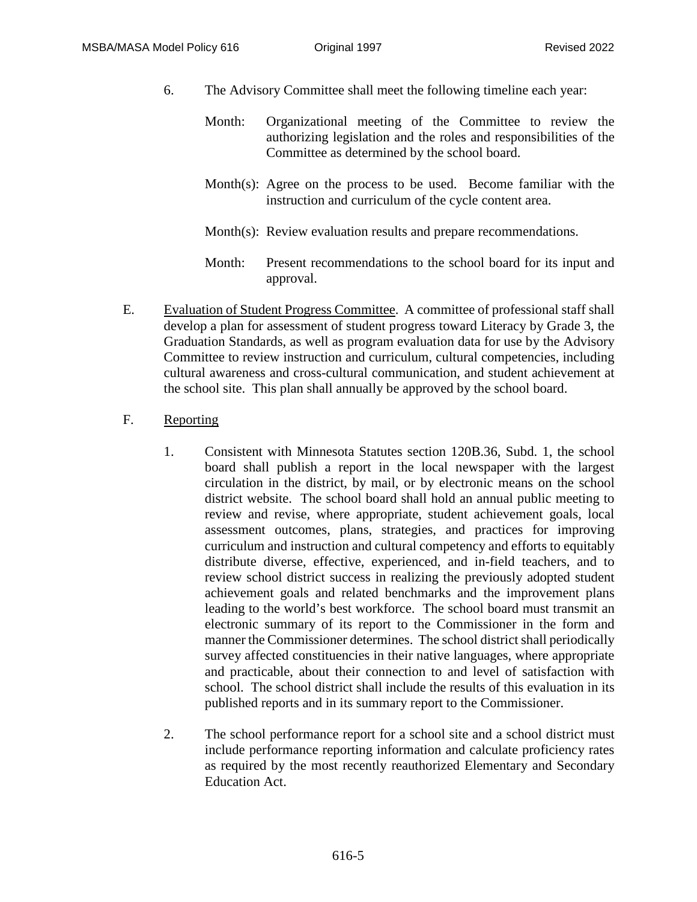- 6. The Advisory Committee shall meet the following timeline each year:
	- Month: Organizational meeting of the Committee to review the authorizing legislation and the roles and responsibilities of the Committee as determined by the school board.
	- Month(s): Agree on the process to be used. Become familiar with the instruction and curriculum of the cycle content area.

Month(s): Review evaluation results and prepare recommendations.

- Month: Present recommendations to the school board for its input and approval.
- E. Evaluation of Student Progress Committee. A committee of professional staff shall develop a plan for assessment of student progress toward Literacy by Grade 3, the Graduation Standards, as well as program evaluation data for use by the Advisory Committee to review instruction and curriculum, cultural competencies, including cultural awareness and cross-cultural communication, and student achievement at the school site. This plan shall annually be approved by the school board.

### F. Reporting

- 1. Consistent with Minnesota Statutes section 120B.36, Subd. 1, the school board shall publish a report in the local newspaper with the largest circulation in the district, by mail, or by electronic means on the school district website. The school board shall hold an annual public meeting to review and revise, where appropriate, student achievement goals, local assessment outcomes, plans, strategies, and practices for improving curriculum and instruction and cultural competency and efforts to equitably distribute diverse, effective, experienced, and in-field teachers, and to review school district success in realizing the previously adopted student achievement goals and related benchmarks and the improvement plans leading to the world's best workforce. The school board must transmit an electronic summary of its report to the Commissioner in the form and manner the Commissioner determines. The school district shall periodically survey affected constituencies in their native languages, where appropriate and practicable, about their connection to and level of satisfaction with school. The school district shall include the results of this evaluation in its published reports and in its summary report to the Commissioner.
- 2. The school performance report for a school site and a school district must include performance reporting information and calculate proficiency rates as required by the most recently reauthorized Elementary and Secondary Education Act.